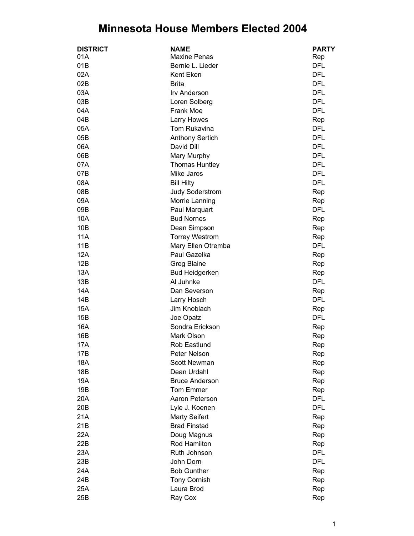## **Minnesota House Members Elected 2004**

| <b>DISTRICT</b> | <b>NAME</b>            | <b>PARTY</b>      |
|-----------------|------------------------|-------------------|
| 01A             | <b>Maxine Penas</b>    | Rep               |
| 01B             | Bernie L. Lieder       | <b>DFL</b>        |
| 02A             | Kent Eken              | <b>DFL</b>        |
| 02B             | <b>Brita</b>           | <b>DFL</b>        |
| 03A             | Irv Anderson           | <b>DFL</b>        |
| 03B             | Loren Solberg          | <b>DFL</b>        |
| 04A             | <b>Frank Moe</b>       | <b>DFL</b>        |
| 04B             | Larry Howes            | Rep               |
| 05A             | Tom Rukavina           | <b>DFL</b>        |
| 05B             | <b>Anthony Sertich</b> | <b>DFL</b>        |
| 06A             | David Dill             | <b>DFL</b>        |
| 06B             | Mary Murphy            | <b>DFL</b>        |
| 07A             | <b>Thomas Huntley</b>  | <b>DFL</b>        |
| 07B             | Mike Jaros             | <b>DFL</b>        |
| 08A             | <b>Bill Hilty</b>      | <b>DFL</b>        |
| 08B             | <b>Judy Soderstrom</b> | Rep               |
| 09A             |                        |                   |
| 09B             | Morrie Lanning         | Rep<br><b>DFL</b> |
|                 | Paul Marquart          |                   |
| 10A             | <b>Bud Nornes</b>      | Rep               |
| 10B             | Dean Simpson           | Rep               |
| 11A             | <b>Torrey Westrom</b>  | Rep               |
| 11B             | Mary Ellen Otremba     | <b>DFL</b>        |
| 12A             | Paul Gazelka           | Rep               |
| 12B             | Greg Blaine            | Rep               |
| 13A             | <b>Bud Heidgerken</b>  | Rep               |
| 13B             | Al Juhnke              | <b>DFL</b>        |
| 14A             | Dan Severson           | Rep               |
| 14B             | Larry Hosch            | <b>DFL</b>        |
| 15A             | Jim Knoblach           | Rep               |
| 15B             | Joe Opatz              | <b>DFL</b>        |
| 16A             | Sondra Erickson        | Rep               |
| 16B             | Mark Olson             | Rep               |
| 17A             | Rob Eastlund           | Rep               |
| 17B             | Peter Nelson           | Rep               |
| 18A             | Scott Newman           | Rep               |
| 18B             | Dean Urdahl            | Rep               |
| 19A             | <b>Bruce Anderson</b>  | Rep               |
| 19B             | Tom Emmer              | Rep               |
| 20A             | Aaron Peterson         | <b>DFL</b>        |
| 20 <sub>B</sub> | Lyle J. Koenen         | <b>DFL</b>        |
| 21A             | <b>Marty Seifert</b>   | Rep               |
| 21B             | <b>Brad Finstad</b>    | Rep               |
| 22A             | Doug Magnus            | Rep               |
| 22B             | Rod Hamilton           | Rep               |
| 23A             | Ruth Johnson           | <b>DFL</b>        |
| 23B             | John Dorn              | <b>DFL</b>        |
| 24A             | <b>Bob Gunther</b>     | Rep               |
| 24B             | Tony Cornish           | Rep               |
| 25A             | Laura Brod             | Rep               |
| 25B             | Ray Cox                | Rep               |
|                 |                        |                   |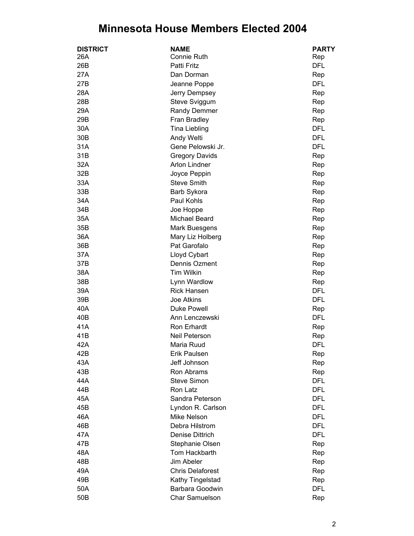## **Minnesota House Members Elected 2004**

| <b>DISTRICT</b> | <b>NAME</b>             | <b>PARTY</b> |
|-----------------|-------------------------|--------------|
| 26A             | Connie Ruth             | Rep          |
| 26B             | <b>Patti Fritz</b>      | <b>DFL</b>   |
| 27A             | Dan Dorman              | Rep          |
| 27B             | Jeanne Poppe            | <b>DFL</b>   |
| 28A             | Jerry Dempsey           | Rep          |
| 28B             | Steve Sviggum           | Rep          |
| 29A             | Randy Demmer            | Rep          |
| 29B             | Fran Bradley            | Rep          |
| 30A             | <b>Tina Liebling</b>    | <b>DFL</b>   |
| 30 <sub>B</sub> | Andy Welti              | <b>DFL</b>   |
| 31A             | Gene Pelowski Jr.       | <b>DFL</b>   |
| 31B             | <b>Gregory Davids</b>   | Rep          |
| 32A             | <b>Arlon Lindner</b>    | Rep          |
| 32B             | Joyce Peppin            | Rep          |
| 33A             | <b>Steve Smith</b>      | Rep          |
| 33B             | Barb Sykora             | Rep          |
| 34A             | Paul Kohls              | Rep          |
| 34B             | Joe Hoppe               | Rep          |
| 35A             | Michael Beard           | Rep          |
| 35B             | Mark Buesgens           | Rep          |
| 36A             | Mary Liz Holberg        | Rep          |
| 36B             | Pat Garofalo            | Rep          |
| 37A             | Lloyd Cybart            | Rep          |
| 37B             | Dennis Ozment           | Rep          |
| 38A             | Tim Wilkin              | Rep          |
| 38B             | Lynn Wardlow            | Rep          |
| 39A             | <b>Rick Hansen</b>      | <b>DFL</b>   |
| 39B             | Joe Atkins              | <b>DFL</b>   |
| 40A             | <b>Duke Powell</b>      | Rep          |
| 40B             | Ann Lenczewski          | <b>DFL</b>   |
| 41A             | Ron Erhardt             | Rep          |
| 41B             | Neil Peterson           | Rep          |
| 42A             | Maria Ruud              | <b>DFL</b>   |
| 42B             | Erik Paulsen            | Rep          |
| 43A             | Jeff Johnson            | Rep          |
| 43B             | Ron Abrams              | Rep          |
| 44A             | <b>Steve Simon</b>      | <b>DFL</b>   |
| 44B             | Ron Latz                | <b>DFL</b>   |
| 45A             | Sandra Peterson         | <b>DFL</b>   |
| 45B             | Lyndon R. Carlson       | <b>DFL</b>   |
| 46A             | Mike Nelson             | <b>DFL</b>   |
| 46B             | Debra Hilstrom          | <b>DFL</b>   |
| 47A             | Denise Dittrich         | <b>DFL</b>   |
| 47B             | Stephanie Olsen         | Rep          |
| 48A             | Tom Hackbarth           | Rep          |
| 48B             | Jim Abeler              | Rep          |
| 49A             | <b>Chris Delaforest</b> | Rep          |
| 49B             | Kathy Tingelstad        | Rep          |
| 50A             | Barbara Goodwin         | <b>DFL</b>   |
| 50 <sub>B</sub> | Char Samuelson          | Rep          |
|                 |                         |              |